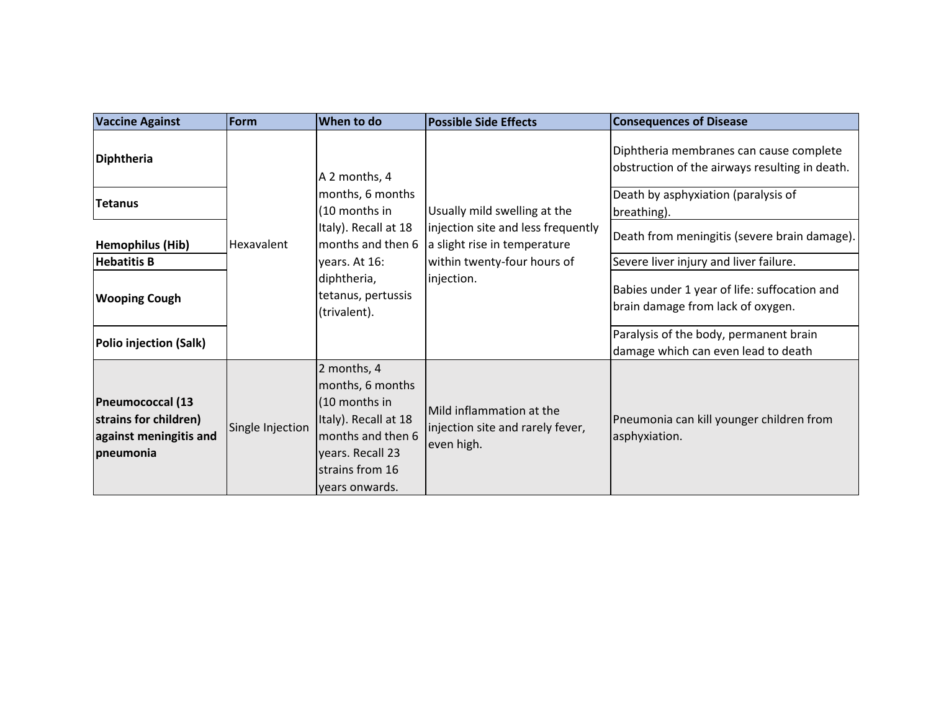| <b>Vaccine Against</b>                                                                  | Form             | When to do                                                                                                                                                            | <b>Possible Side Effects</b>                                                                                                                    | <b>Consequences of Disease</b>                                                            |
|-----------------------------------------------------------------------------------------|------------------|-----------------------------------------------------------------------------------------------------------------------------------------------------------------------|-------------------------------------------------------------------------------------------------------------------------------------------------|-------------------------------------------------------------------------------------------|
| Diphtheria                                                                              | Hexavalent       | A 2 months, 4<br>months, 6 months<br>(10 months in<br>Italy). Recall at 18<br>months and then 6<br>years. At 16:<br>diphtheria,<br>tetanus, pertussis<br>(trivalent). | Usually mild swelling at the<br>injection site and less frequently<br>a slight rise in temperature<br>within twenty-four hours of<br>injection. | Diphtheria membranes can cause complete<br>obstruction of the airways resulting in death. |
| <b>Tetanus</b>                                                                          |                  |                                                                                                                                                                       |                                                                                                                                                 | Death by asphyxiation (paralysis of<br>breathing).                                        |
| <b>Hemophilus (Hib)</b>                                                                 |                  |                                                                                                                                                                       |                                                                                                                                                 | Death from meningitis (severe brain damage).                                              |
| <b>Hebatitis B</b>                                                                      |                  |                                                                                                                                                                       |                                                                                                                                                 | Severe liver injury and liver failure.                                                    |
| <b>Wooping Cough</b>                                                                    |                  |                                                                                                                                                                       |                                                                                                                                                 | Babies under 1 year of life: suffocation and<br>brain damage from lack of oxygen.         |
| Polio injection (Salk)                                                                  |                  |                                                                                                                                                                       |                                                                                                                                                 | Paralysis of the body, permanent brain<br>damage which can even lead to death             |
| <b>Pneumococcal (13</b><br>strains for children)<br>against meningitis and<br>pneumonia | Single Injection | 2 months, 4<br>months, 6 months<br>(10 months in<br>Italy). Recall at 18<br>months and then 6<br>years. Recall 23<br>strains from 16<br>years onwards.                | Mild inflammation at the<br>injection site and rarely fever,<br>even high.                                                                      | Pneumonia can kill younger children from<br>asphyxiation.                                 |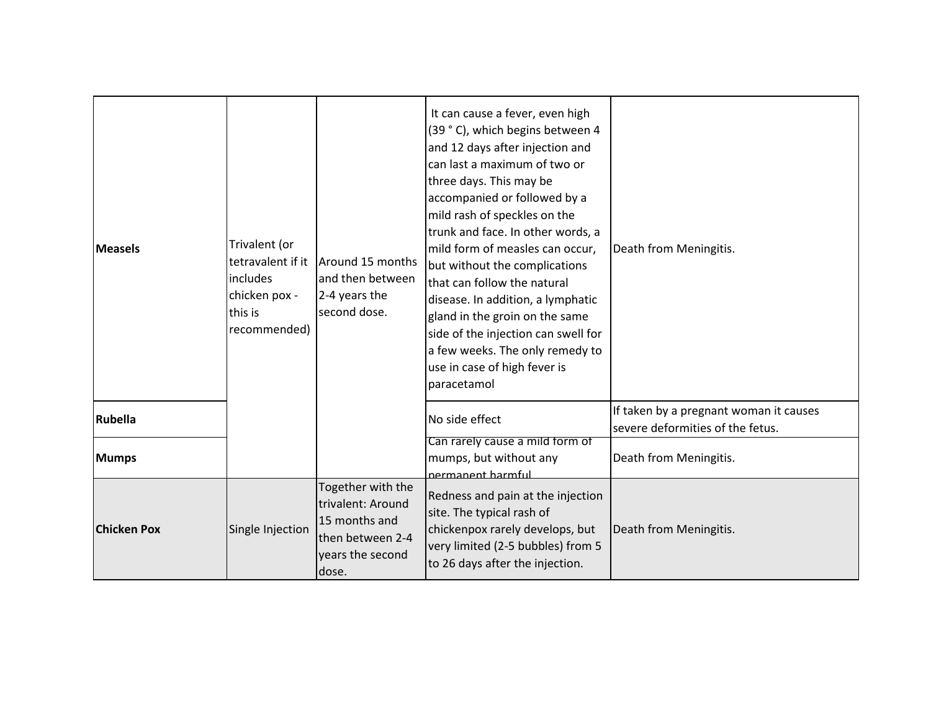| <b>Measels</b>     | Trivalent (or<br>tetravalent if it<br>includes<br>chicken pox -<br>this is<br>recommended) | Around 15 months<br>and then between<br>2-4 years the<br>second dose.                                    | It can cause a fever, even high<br>(39 °C), which begins between 4<br>and 12 days after injection and<br>can last a maximum of two or<br>three days. This may be<br>accompanied or followed by a<br>mild rash of speckles on the<br>trunk and face. In other words, a<br>mild form of measles can occur,<br>but without the complications<br>that can follow the natural<br>disease. In addition, a lymphatic<br>gland in the groin on the same<br>side of the injection can swell for<br>a few weeks. The only remedy to<br>use in case of high fever is<br>paracetamol | Death from Meningitis.                                                     |
|--------------------|--------------------------------------------------------------------------------------------|----------------------------------------------------------------------------------------------------------|--------------------------------------------------------------------------------------------------------------------------------------------------------------------------------------------------------------------------------------------------------------------------------------------------------------------------------------------------------------------------------------------------------------------------------------------------------------------------------------------------------------------------------------------------------------------------|----------------------------------------------------------------------------|
| Rubella            |                                                                                            |                                                                                                          | No side effect                                                                                                                                                                                                                                                                                                                                                                                                                                                                                                                                                           | If taken by a pregnant woman it causes<br>severe deformities of the fetus. |
| <b>Mumps</b>       |                                                                                            |                                                                                                          | Can rarely cause a mild form of<br>mumps, but without any<br>nermanent harmful                                                                                                                                                                                                                                                                                                                                                                                                                                                                                           | Death from Meningitis.                                                     |
| <b>Chicken Pox</b> | Single Injection                                                                           | Together with the<br>trivalent: Around<br>15 months and<br>then between 2-4<br>years the second<br>dose. | Redness and pain at the injection<br>site. The typical rash of<br>chickenpox rarely develops, but<br>very limited (2-5 bubbles) from 5<br>to 26 days after the injection.                                                                                                                                                                                                                                                                                                                                                                                                | Death from Meningitis.                                                     |